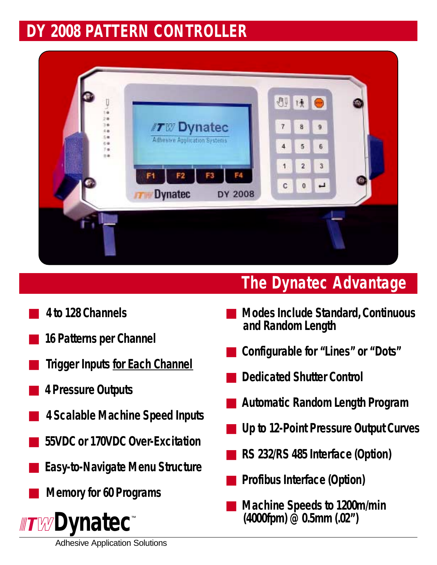## *DY 2008 PATTERN CONTROLLER*



## ■ *4 to 128 Channels*

- *16 Patterns per Channel*
- **Trigger Inputs for Each Channel**
- *4 Pressure Outputs*
- *4 Scalable Machine Speed Inputs*
- *55VDC or 170VDC Over-Excitation*
- *Easy-to-Navigate Menu Structure*
	- *Memory for 60 Programs*



## *The Dynatec Advantage*

- *Modes Include Standard, Continuous and Random Length*
- *Configurable for "Lines" or "Dots"*
- *Dedicated Shutter Control*
- *Automatic Random Length Program*
- *Up to 12-Point Pressure Output Curves*
- *RS 232/RS 485 Interface (Option)*
- **Profibus Interface (Option)**
- *Machine Speeds to 1200m/min (4000fpm) @ 0.5mm (.02")*

Adhesive Application Solutions